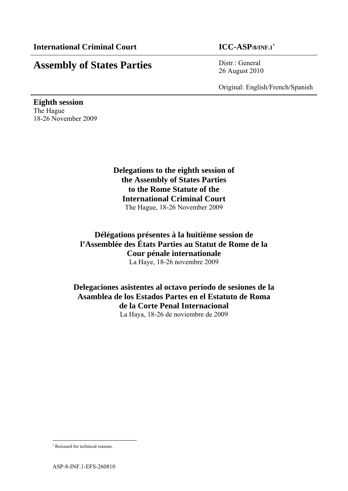# **Assembly of States Parties** Distr.: General

26 August 2010

Original: English/French/Spanish

**Eighth session**  The Hague 18-26 November 2009

> **Delegations to the eighth session of the Assembly of States Parties to the Rome Statute of the International Criminal Court**  The Hague, 18-26 November 2009

**Délégations présentes à la huitième session de l'Assemblée des États Parties au Statut de Rome de la Cour pénale internationale**  La Haye, 18-26 novembre 2009

**Delegaciones asistentes al octavo período de sesiones de la Asamblea de los Estados Partes en el Estatuto de Roma de la Corte Penal Internacional** 

La Haya, 18-26 de noviembre de 2009

l

 Reissued for technical reasons.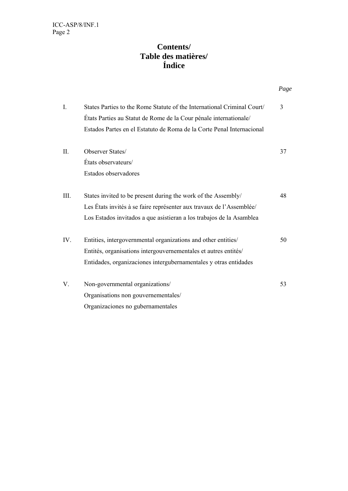## **Contents/ Table des matières/ Índice**

|                                                                         | Page |
|-------------------------------------------------------------------------|------|
| States Parties to the Rome Statute of the International Criminal Court/ | 3    |
| États Parties au Statut de Rome de la Cour pénale internationale/       |      |
| Estados Partes en el Estatuto de Roma de la Corte Penal Internacional   |      |
| Observer States/                                                        | 37   |
| États observateurs/                                                     |      |
| Estados observadores                                                    |      |
| States invited to be present during the work of the Assembly/           | 48   |
| Les États invités à se faire représenter aux travaux de l'Assemblée/    |      |
| Los Estados invitados a que asistieran a los trabajos de la Asamblea    |      |
| Entities, intergovernmental organizations and other entities/           | 50   |
| Entités, organisations intergouvernementales et autres entités/         |      |
| Entidades, organizaciones intergubernamentales y otras entidades        |      |
| Non-governmental organizations/                                         | 53   |
| Organisations non gouvernementales/                                     |      |
| Organizaciones no gubernamentales                                       |      |
|                                                                         |      |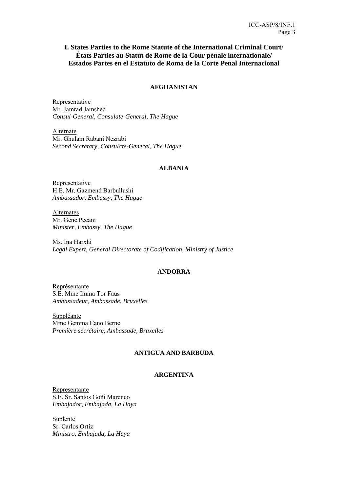## **I. States Parties to the Rome Statute of the International Criminal Court/ États Parties au Statut de Rome de la Cour pénale internationale/ Estados Partes en el Estatuto de Roma de la Corte Penal Internacional**

## **AFGHANISTAN**

Representative Mr. Jamrad Jamshed *Consul-General, Consulate-General, The Hague* 

Alternate Mr. Ghulam Rabani Nezrabi *Second Secretary, Consulate-General, The Hague* 

## **ALBANIA**

Representative H.E. Mr. Gazmend Barbullushi *Ambassador, Embassy, The Hague* 

Alternates Mr. Genc Pecani *Minister, Embassy, The Hague* 

Ms. Ina Harxhi *Legal Expert, General Directorate of Codification, Ministry of Justice* 

## **ANDORRA**

Représentante S.E. Mme Imma Tor Faus *Ambassadeur, Ambassade, Bruxelles* 

Suppléante Mme Gemma Cano Berne *Première secrétaire, Ambassade, Bruxelles* 

## **ANTIGUA AND BARBUDA**

## **ARGENTINA**

Representante S.E. Sr. Santos Goñi Marenco *Embajador, Embajada, La Haya* 

Suplente Sr. Carlos Ortíz *Ministro, Embajada, La Haya*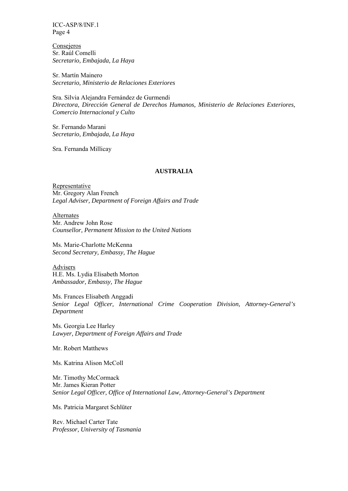**Consejeros** Sr. Raúl Comelli *Secretario, Embajada, La Haya* 

Sr. Martín Mainero *Secretario, Ministerio de Relaciones Exteriores* 

Sra. Silvia Alejandra Fernández de Gurmendi *Directora, Dirección General de Derechos Humanos, Ministerio de Relaciones Exteriores, Comercio Internacional y Culto* 

Sr. Fernando Marani *Secretario, Embajada, La Haya* 

Sra. Fernanda Millicay

## **AUSTRALIA**

Representative Mr. Gregory Alan French *Legal Adviser, Department of Foreign Affairs and Trade* 

Alternates Mr. Andrew John Rose *Counsellor, Permanent Mission to the United Nations* 

Ms. Marie-Charlotte McKenna *Second Secretary, Embassy, The Hague* 

Advisers H.E. Ms. Lydia Elisabeth Morton *Ambassador, Embassy, The Hague* 

Ms. Frances Elisabeth Anggadi *Senior Legal Officer, International Crime Cooperation Division, Attorney-General's Department* 

Ms. Georgia Lee Harley *Lawyer, Department of Foreign Affairs and Trade* 

Mr. Robert Matthews

Ms. Katrina Alison McColl

Mr. Timothy McCormack Mr. James Kieran Potter *Senior Legal Officer, Office of International Law, Attorney-General's Department* 

Ms. Patricia Margaret Schlüter

Rev. Michael Carter Tate *Professor, University of Tasmania*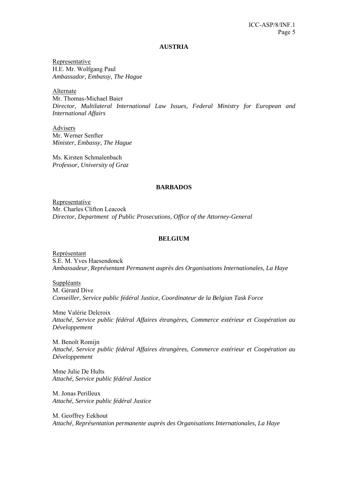#### **AUSTRIA**

Representative H.E. Mr. Wolfgang Paul *Ambassador, Embassy, The Hague* 

Alternate

Mr. Thomas-Michael Baier *Director, Multilateral International Law Issues, Federal Ministry for European and International Affairs* 

Advisers Mr. Werner Senfter *Minister, Embassy, The Hague* 

Ms. Kirsten Schmalenbach *Professor, University of Graz* 

#### **BARBADOS**

Representative Mr. Charles Clifton Leacock *Director, Department of Public Prosecutions, Office of the Attorney-General* 

#### **BELGIUM**

Représentant S.E. M. Yves Haesendonck *Ambassadeur, Représentant Permanent auprès des Organisations Internationales, La Haye* 

Suppléants M. Gérard Dive *Conseiller, Service public fédéral Justice, Coordinateur de la Belgian Task Force* 

Mme Valérie Delcroix *Attaché, Service public fédéral Affaires étrangères, Commerce extérieur et Coopération au Développement* 

M. Benoît Romijn *Attaché, Service public fédéral Affaires étrangères, Commerce extérieur et Coopération au Développement* 

Mme Julie De Hults *Attaché, Service public fédéral Justice* 

M. Jonas Perilleux *Attaché, Service public fédéral Justice* 

M. Geoffrey Eekhout *Attaché, Représentation permanente auprès des Organisations Internationales, La Haye*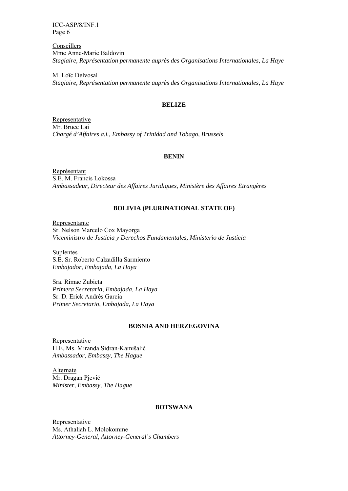**Conseillers** Mme Anne-Marie Baldovin *Stagiaire, Représentation permanente auprès des Organisations Internationales, La Haye* 

M. Loïc Delvosal *Stagiaire, Représentation permanente auprès des Organisations Internationales, La Haye* 

### **BELIZE**

Representative Mr. Bruce Lai *Chargé d'Affaires a.i., Embassy of Trinidad and Tobago, Brussels* 

#### **BENIN**

Représentant S.E. M. Francis Lokossa *Ambassadeur, Directeur des Affaires Juridiques, Ministère des Affaires Etrangères* 

## **BOLIVIA (PLURINATIONAL STATE OF)**

Representante Sr. Nelson Marcelo Cox Mayorga *Viceministro de Justicia y Derechos Fundamentales, Ministerio de Justicia* 

Suplentes S.E. Sr. Roberto Calzadilla Sarmiento *Embajador, Embajada, La Haya* 

Sra. Rimac Zubieta *Primera Secretaria, Embajada, La Haya*  Sr. D. Erick Andrés García *Primer Secretario, Embajada, La Haya* 

### **BOSNIA AND HERZEGOVINA**

Representative H.E. Ms. Miranda Sidran-Kamišalić *Ambassador, Embassy, The Hague* 

Alternate Mr. Dragan Pjević *Minister, Embassy, The Hague* 

## **BOTSWANA**

Representative Ms. Athaliah L. Molokomme *Attorney-General, Attorney-General's Chambers*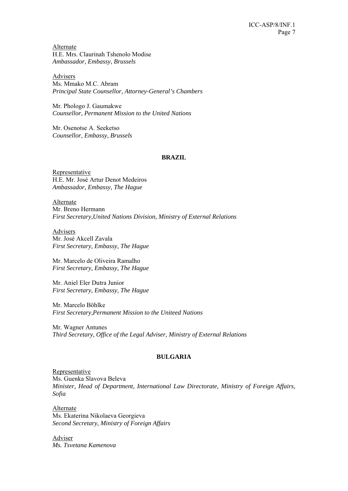Alternate H.E. Mrs. Claurinah Tshenolo Modise *Ambassador, Embassy, Brussels* 

Advisers Ms. Mmako M.C. Abram *Principal State Counsellor, Attorney-General's Chambers* 

Mr. Phologo J. Gaumakwe *Counsellor, Permanent Mission to the United Nations*

Mr. Osenotse A. Seeketso *Counsellor*, *Embassy, Brussels*

### **BRAZIL**

Representative H.E. Mr. José Artur Denot Medeiros *Ambassador, Embassy, The Hague* 

Alternate Mr. Breno Hermann *First Secretary,United Nations Division, Ministry of External Relations* 

Advisers Mr. José Akcell Zavala *First Secretary, Embassy, The Hague* 

Mr. Marcelo de Oliveira Ramalho *First Secretary, Embassy, The Hague* 

Mr. Aniel Eler Dutra Junior *First Secretary, Embassy, The Hague* 

Mr. Marcelo Böhlke *First Secretary,Permanent Mission to the Uniteed Nations* 

Mr. Wagner Antunes *Third Secretary, Office of the Legal Adviser, Ministry of External Relations* 

## **BULGARIA**

Representative

Ms. Guenka Slavova Beleva *Minister, Head of Department, International Law Directorate, Ministry of Foreign Affairs, Sofia* 

Alternate Ms. Ekaterina Nikolaeva Georgieva *Second Secretary, Ministry of Foreign Affairs* 

Adviser *Ms. Tsvetana Kamenova*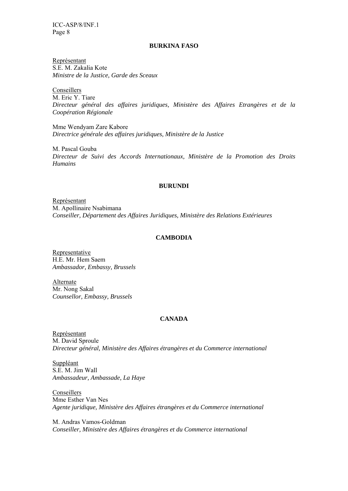#### **BURKINA FASO**

Représentant S.E. M. Zakalia Kote *Ministre de la Justice, Garde des Sceaux* 

Conseillers M. Eric Y. Tiare *Directeur général des affaires juridiques, Ministère des Affaires Etrangères et de la Coopération Régionale* 

Mme Wendyam Zare Kabore *Directrice générale des affaires juridiques, Ministère de la Justice* 

M. Pascal Gouba *Directeur de Suivi des Accords Internationaux, Ministère de la Promotion des Droits Humains* 

### **BURUNDI**

Représentant M. Apollinaire Nsabimana *Conseiller, Département des Affaires Juridiques, Ministère des Relations Extérieures* 

## **CAMBODIA**

Representative H.E. Mr. Hem Saem *Ambassador, Embassy, Brussels* 

Alternate Mr. Nong Sakal *Counsellor, Embassy, Brussels* 

## **CANADA**

Représentant M. David Sproule *Directeur général, Ministère des Affaires étrangères et du Commerce international* 

Suppléant S.E. M. Jim Wall *Ambassadeur, Ambassade, La Haye* 

Conseillers Mme Esther Van Nes *Agente juridique, Ministère des Affaires étrangères et du Commerce international* 

M. Andras Vamos-Goldman *Conseiller, Ministère des Affaires étrangères et du Commerce international*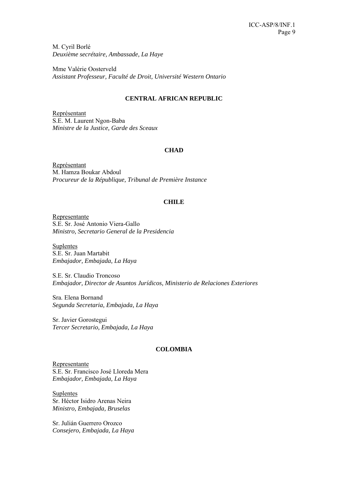M. Cyril Borlé *Deuxième secrétaire, Ambassade, La Haye* 

Mme Valérie Oosterveld *Assistant Professeur, Faculté de Droit, Université Western Ontario* 

## **CENTRAL AFRICAN REPUBLIC**

Représentant S.E. M. Laurent Ngon-Baba *Ministre de la Justice, Garde des Sceaux* 

### **CHAD**

Représentant M. Hamza Boukar Abdoul *Procureur de la République, Tribunal de Première Instance* 

### **CHILE**

Representante S.E. Sr. José Antonio Viera-Gallo *Ministro, Secretario General de la Presidencia* 

**Suplentes** S.E. Sr. Juan Martabit *Embajador, Embajada, La Haya* 

S.E. Sr. Claudio Troncoso *Embajador, Director de Asuntos Jurídicos, Ministerio de Relaciones Exteriores* 

Sra. Elena Bornand *Segunda Secretaria, Embajada, La Haya* 

Sr. Javier Gorostegui *Tercer Secretario, Embajada, La Haya*

## **COLOMBIA**

Representante S.E. Sr. Francisco José Lloreda Mera *Embajador, Embajada, La Haya* 

Suplentes Sr. Héctor Isidro Arenas Neira *Ministro, Embajada, Bruselas* 

Sr. Julián Guerrero Orozco *Consejero, Embajada, La Haya*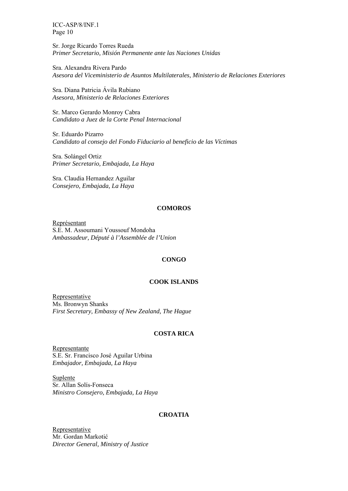Sr. Jorge Ricardo Torres Rueda *Primer Secretario, Misión Permanente ante las Naciones Unidas* 

Sra. Alexandra Rivera Pardo *Asesora del Viceministerio de Asuntos Multilaterales, Ministerio de Relaciones Exteriores* 

Sra. Diana Patricia Ávila Rubiano *Asesora, Ministerio de Relaciones Exteriores* 

Sr. Marco Gerardo Monroy Cabra *Candidato a Juez de la Corte Penal Internacional* 

Sr. Eduardo Pizarro *Candidato al consejo del Fondo Fiduciario al beneficio de las Víctimas* 

Sra. Solángel Ortiz *Primer Secretario, Embajada, La Haya* 

Sra. Claudia Hernandez Aguilar *Consejero, Embajada, La Haya* 

### **COMOROS**

Représentant S.E. M. Assoumani Youssouf Mondoha *Ambassadeur, Député à l'Assemblée de l'Union*

#### **CONGO**

#### **COOK ISLANDS**

Representative Ms. Bronwyn Shanks *First Secretary, Embassy of New Zealand, The Hague* 

#### **COSTA RICA**

Representante S.E. Sr. Francisco José Aguilar Urbina *Embajador, Embajada, La Haya* 

**Suplente** Sr. Allan Solís-Fonseca *Ministro Consejero, Embajada, La Haya* 

## **CROATIA**

**Representative** Mr. Gordan Markotić *Director General, Ministry of Justice*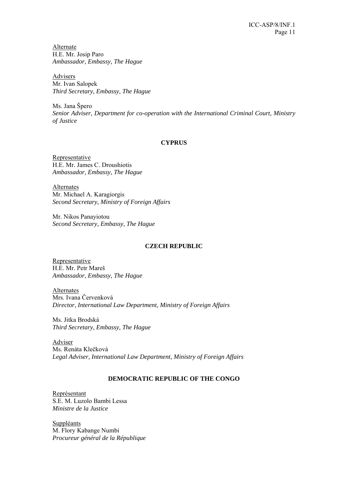Alternate H.E. Mr. Josip Paro *Ambassador, Embassy, The Hague* 

Advisers Mr. Ivan Salopek *Third Secretary, Embassy, The Hague* 

Ms. Jana Špero *Senior Adviser, Department for co-operation with the International Criminal Court, Ministry of Justice* 

## **CYPRUS**

Representative H.E. Mr. James C. Droushiotis *Ambassador, Embassy, The Hague* 

**Alternates** Mr. Michael A. Karagiorgis *Second Secretary, Ministry of Foreign Affairs* 

Mr. Nikos Panayiotou *Second Secretary, Embassy, The Hague* 

## **CZECH REPUBLIC**

Representative H.E. Mr. Petr Mareš *Ambassador, Embassy, The Hague* 

Alternates Mrs. Ivana Červenková *Director, International Law Department, Ministry of Foreign Affairs* 

Ms. Jitka Brodská *Third Secretary, Embassy, The Hague* 

Adviser Ms. Renáta Klečková *Legal Adviser, International Law Department, Ministry of Foreign Affairs* 

## **DEMOCRATIC REPUBLIC OF THE CONGO**

Représentant S.E. M. Luzolo Bambi Lessa *Ministre de la Justice* 

**Suppléants** M. Flory Kabange Numbi *Procureur général de la République*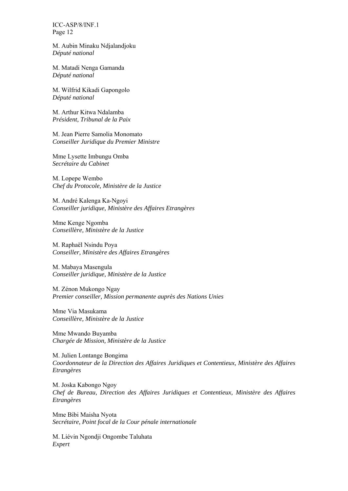M. Aubin Minaku Ndjalandjoku *Député national* 

M. Matadi Nenga Gamanda *Député national* 

M. Wilfrid Kikadi Gapongolo *Député national* 

M. Arthur Kitwa Ndalamba *Président, Tribunal de la Paix* 

M. Jean Pierre Samolia Monomato *Conseiller Juridique du Premier Ministre* 

Mme Lysette Imbungu Omba *Secrétaire du Cabinet* 

M. Lopepe Wembo *Chef du Protocole, Ministère de la Justice* 

M. André Kalenga Ka-Ngoyi *Conseiller juridique, Ministère des Affaires Etrangères* 

Mme Kenge Ngomba *Conseillère, Ministère de la Justice* 

M. Raphaël Nsindu Poya *Conseiller, Ministère des Affaires Etrangères* 

M. Mabaya Masengula *Conseiller juridique, Ministère de la Justice* 

M. Zénon Mukongo Ngay *Premier conseiller, Mission permanente auprès des Nations Unies* 

Mme Via Masukama *Conseillère, Ministère de la Justice* 

Mme Mwando Buyamba *Chargée de Mission, Ministère de la Justice* 

M. Julien Lontange Bongima *Coordonnateur de la Direction des Affaires Juridiques et Contentieux, Ministère des Affaires Etrangères* 

M. Joska Kabongo Ngoy *Chef de Bureau, Direction des Affaires Juridiques et Contentieux, Ministère des Affaires Etrangères* 

Mme Bibi Maisha Nyota *Secrétaire, Point focal de la Cour pénale internationale* 

M. Liévin Ngondji Ongombe Taluhata *Expert*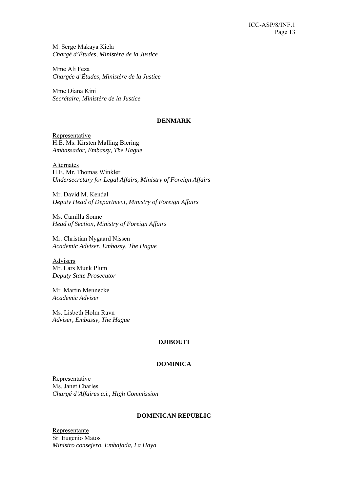M. Serge Makaya Kiela *Chargé d'Études, Ministère de la Justice* 

Mme Ali Feza *Chargée d'Études, Ministère de la Justice* 

Mme Diana Kini *Secrétaire, Ministère de la Justice* 

#### **DENMARK**

Representative H.E. Ms. Kirsten Malling Biering *Ambassador, Embassy, The Hague* 

Alternates H.E. Mr. Thomas Winkler *Undersecretary for Legal Affairs, Ministry of Foreign Affairs* 

Mr. David M. Kendal *Deputy Head of Department, Ministry of Foreign Affairs*

Ms. Camilla Sonne *Head of Section, Ministry of Foreign Affairs* 

Mr. Christian Nygaard Nissen *Academic Adviser, Embassy, The Hague* 

Advisers Mr. Lars Munk Plum *Deputy State Prosecutor* 

Mr. Martin Mennecke *Academic Adviser* 

Ms. Lisbeth Holm Ravn *Adviser, Embassy, The Hague* 

## **DJIBOUTI**

## **DOMINICA**

Representative Ms. Janet Charles *Chargé d'Affaires a.i., High Commission*

## **DOMINICAN REPUBLIC**

Representante Sr. Eugenio Matos *Ministro consejero, Embajada, La Haya*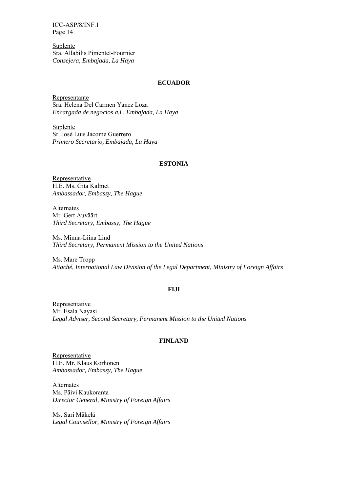**Suplente** Sra. Allabilis Pimentel-Fournier *Consejera, Embajada, La Haya* 

### **ECUADOR**

Representante Sra. Helena Del Carmen Yanez Loza *Encargada de negocios a.i., Embajada, La Haya* 

Suplente Sr. José Luis Jacome Guerrero *Primero Secretario, Embajada, La Haya* 

### **ESTONIA**

**Representative** H.E. Ms. Gita Kalmet *Ambassador, Embassy, The Hague* 

Alternates Mr. Gert Auväärt *Third Secretary, Embassy, The Hague* 

Ms. Minna-Liina Lind *Third Secretary, Permanent Mission to the United Nations* 

Ms. Mare Tropp *Attaché, International Law Division of the Legal Department, Ministry of Foreign Affairs* 

#### **FIJI**

Representative Mr. Esala Nayasi *Legal Adviser, Second Secretary, Permanent Mission to the United Nations* 

#### **FINLAND**

Representative H.E. Mr. Klaus Korhonen *Ambassador, Embassy, The Hague* 

**Alternates** Ms. Päivi Kaukoranta *Director General, Ministry of Foreign Affairs* 

Ms. Sari Mäkelä *Legal Counsellor, Ministry of Foreign Affairs*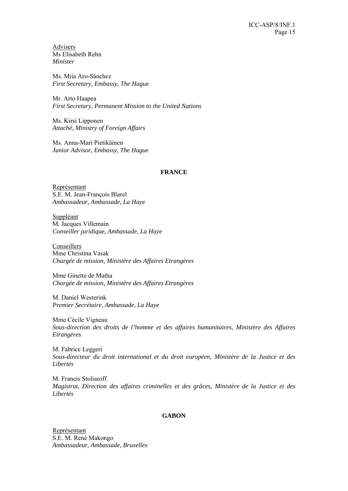Advisers Ms Elisabeth Rehn *Minister* 

Ms. Miia Aro-Sánchez *First Secretary, Embassy, The Hague* 

Mr. Arto Haapea *First Secretary, Permanent Mission to the United Nations* 

Ms. Kirsi Lipponen *Attaché, Ministry of Foreign Affairs* 

Ms. Anna-Mari Pietikäinen *Junior Advisor, Embassy, The Hague* 

## **FRANCE**

Représentant S.E. M. Jean-François Blarel *Ambassadeur, Ambassade, La Haye* 

Suppléant M. Jacques Villemain *Conseiller juridique, Ambassade, La Haye* 

Conseillers Mme Christina Vasak *Chargée de mission, Ministère des Affaires Etrangères*

Mme Ginette de Matha *Chargée de mission, Ministère des Affaires Etrangères*

M. Daniel Westerink *Premier Secrétaire, Ambassade, La Haye* 

Mme Cécile Vigneau *Sous-direction des droits de l'homme et des affaires humanitaires, Ministère des Affaires Etrangères* 

M. Fabrice Leggeri *Sous-directeur du droit international et du droit européen, Ministère de la Justice et des Libertés* 

M. Francis Stoliaroff *Magistrat, Direction des affaires criminelles et des grâces, Ministère de la Justice et des Libertés* 

## **GABON**

Représentant S.E. M. René Makongo *Ambassadeur, Ambassade, Bruxelles*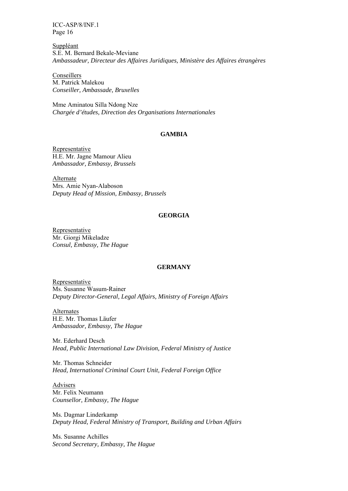Suppléant S.E. M. Bernard Bekale-Meviane *Ambassadeur, Directeur des Affaires Juridiques, Ministère des Affaires étrangères* 

Conseillers M. Patrick Malekou *Conseiller, Ambassade, Bruxelles* 

Mme Aminatou Silla Ndong Nze *Chargée d'études, Direction des Organisations Internationales* 

## **GAMBIA**

**Representative** H.E. Mr. Jagne Mamour Alieu *Ambassador, Embassy, Brussels* 

Alternate Mrs. Amie Nyan-Alaboson *Deputy Head of Mission, Embassy, Brussels* 

### **GEORGIA**

Representative Mr. Giorgi Mikeladze *Consul, Embassy, The Hague* 

## **GERMANY**

Representative Ms. Susanne Wasum-Rainer *Deputy Director-General, Legal Affairs, Ministry of Foreign Affairs* 

Alternates H.E. Mr. Thomas Läufer *Ambassador, Embassy, The Hague* 

Mr. Ederhard Desch *Head, Public International Law Division, Federal Ministry of Justice* 

Mr. Thomas Schneider *Head, International Criminal Court Unit, Federal Foreign Office* 

**Advisers** Mr. Felix Neumann *Counsellor, Embassy, The Hague* 

Ms. Dagmar Linderkamp *Deputy Head, Federal Ministry of Transport, Building and Urban Affairs* 

Ms. Susanne Achilles *Second Secretary, Embassy, The Hague*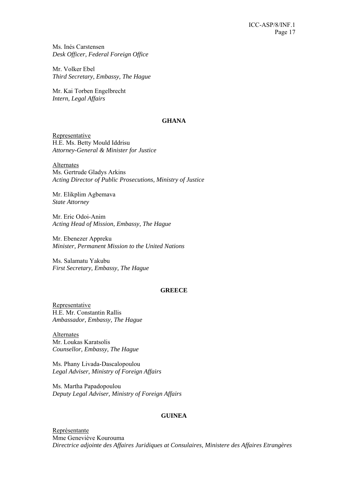Ms. Inés Carstensen *Desk Officer, Federal Foreign Office* 

Mr. Volker Ebel *Third Secretary, Embassy, The Hague* 

Mr. Kai Torben Engelbrecht *Intern, Legal Affairs* 

#### **GHANA**

Representative H.E. Ms. Betty Mould Iddrisu *Attorney-General & Minister for Justice* 

Alternates Ms. Gertrude Gladys Arkins *Acting Director of Public Prosecutions, Ministry of Justice* 

Mr. Elikplim Agbemava *State Attorney* 

Mr. Eric Odoi-Anim *Acting Head of Mission, Embassy, The Hague* 

Mr. Ebenezer Appreku *Minister, Permanent Mission to the United Nations* 

Ms. Salamatu Yakubu *First Secretary, Embassy, The Hague* 

## **GREECE**

**Representative** H.E. Mr. Constantin Rallis *Ambassador, Embassy, The Hague* 

**Alternates** Mr. Loukas Karatsolis *Counsellor, Embassy, The Hague* 

Ms. Phany Livada-Dascalopoulou *Legal Adviser, Ministry of Foreign Affairs* 

Ms. Martha Papadopoulou *Deputy Legal Adviser, Ministry of Foreign Affairs* 

## **GUINEA**

Représentante Mme Geneviève Kourouma *Directrice adjointe des Affaires Juridiques at Consulaires, Ministere des Affaires Etrangères*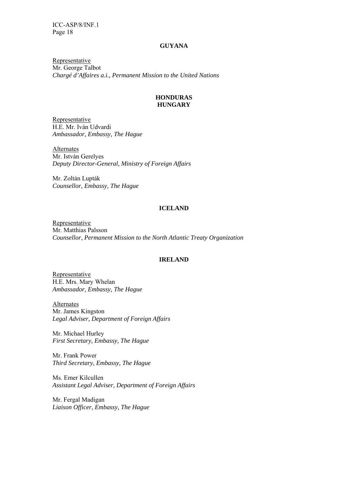#### **GUYANA**

Representative Mr. George Talbot *Chargé d'Affaires a.i., Permanent Mission to the United Nations*

## **HONDURAS HUNGARY**

Representative H.E. Mr. Iván Udvardi *Ambassador, Embassy, The Hague* 

**Alternates** Mr. István Gerelyes *Deputy Director-General, Ministry of Foreign Affairs* 

Mr. Zoltán Lupták *Counsellor, Embassy, The Hague* 

## **ICELAND**

Representative Mr. Matthias Palsson *Counsellor, Permanent Mission to the North Atlantic Treaty Organization* 

#### **IRELAND**

Representative H.E. Mrs. Mary Whelan *Ambassador, Embassy, The Hague* 

Alternates Mr. James Kingston *Legal Adviser, Department of Foreign Affairs* 

Mr. Michael Hurley *First Secretary, Embassy, The Hague* 

Mr. Frank Power *Third Secretary, Embassy, The Hague* 

Ms. Emer Kilcullen *Assistant Legal Adviser, Department of Foreign Affairs* 

Mr. Fergal Madigan *Liaison Officer, Embassy, The Hague*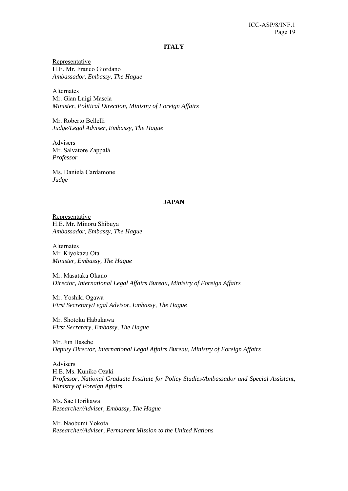#### **ITALY**

Representative H.E. Mr. Franco Giordano *Ambassador, Embassy, The Hague* 

Alternates Mr. Gian Luigi Mascia *Minister, Political Direction, Ministry of Foreign Affairs* 

Mr. Roberto Bellelli *Judge/Legal Adviser, Embassy, The Hague* 

Advisers Mr. Salvatore Zappalà *Professor* 

Ms. Daniela Cardamone *Judge* 

### **JAPAN**

Representative H.E. Mr. Minoru Shibuya *Ambassador, Embassy, The Hague* 

**Alternates** Mr. Kiyokazu Ota *Minister, Embassy, The Hague* 

Mr. Masataka Okano *Director, International Legal Affairs Bureau, Ministry of Foreign Affairs* 

Mr. Yoshiki Ogawa *First Secretary/Legal Advisor, Embassy, The Hague* 

Mr. Shotoku Habukawa *First Secretary, Embassy, The Hague* 

Mr. Jun Hasebe *Deputy Director, International Legal Affairs Bureau, Ministry of Foreign Affairs* 

Advisers H.E. Ms. Kuniko Ozaki *Professor, National Graduate Institute for Policy Studies/Ambassador and Special Assistant, Ministry of Foreign Affairs* 

Ms. Sae Horikawa *Researcher/Adviser, Embassy, The Hague* 

Mr. Naobumi Yokota *Researcher/Adviser, Permanent Mission to the United Nations*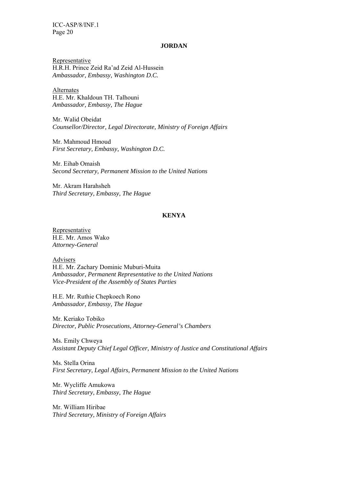#### **JORDAN**

Representative H.R.H. Prince Zeid Ra'ad Zeid Al-Hussein *Ambassador, Embassy, Washington D.C.* 

**Alternates** H.E. Mr. Khaldoun TH. Talhouni *Ambassador, Embassy, The Hague* 

Mr. Walid Obeidat *Counsellor/Director, Legal Directorate, Ministry of Foreign Affairs* 

Mr. Mahmoud Hmoud *First Secretary, Embassy, Washington D.C.* 

Mr. Eihab Omaish *Second Secretary, Permanent Mission to the United Nations* 

Mr. Akram Harahsheh *Third Secretary, Embassy, The Hague* 

## **KENYA**

Representative H.E. Mr. Amos Wako *Attorney-General*

Advisers H.E. Mr. Zachary Dominic Muburi-Muita *Ambassador, Permanent Representative to the United Nations Vice-President of the Assembly of States Parties* 

H.E. Mr. Ruthie Chepkoech Rono *Ambassador, Embassy, The Hague* 

Mr. Keriako Tobiko *Director, Public Prosecutions, Attorney-General's Chambers* 

Ms. Emily Chweya *Assistant Deputy Chief Legal Officer, Ministry of Justice and Constitutional Affairs* 

Ms. Stella Orina *First Secretary, Legal Affairs, Permanent Mission to the United Nations* 

Mr. Wycliffe Amukowa *Third Secretary, Embassy, The Hague* 

Mr. William Hiribae *Third Secretary, Ministry of Foreign Affairs*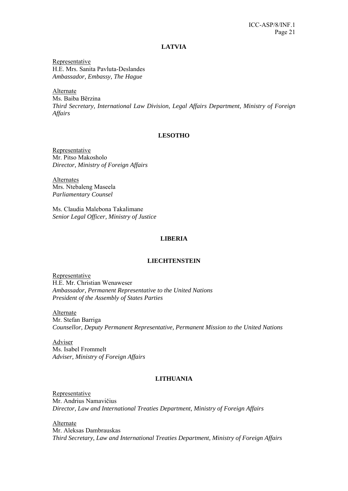### **LATVIA**

Representative H.E. Mrs. Sanita Pavluta-Deslandes *Ambassador, Embassy, The Hague* 

Alternate

Ms. Baiba Bērzina *Third Secretary, International Law Division, Legal Affairs Department, Ministry of Foreign Affairs* 

## **LESOTHO**

Representative Mr. Pitso Makosholo *Director, Ministry of Foreign Affairs* 

Alternates Mrs. Ntebaleng Maseela *Parliamentary Counsel* 

Ms. Claudia Malebona Takalimane *Senior Legal Officer, Ministry of Justice* 

## **LIBERIA**

#### **LIECHTENSTEIN**

Representative H.E. Mr. Christian Wenaweser *Ambassador, Permanent Representative to the United Nations President of the Assembly of States Parties* 

Alternate Mr. Stefan Barriga *Counsellor, Deputy Permanent Representative, Permanent Mission to the United Nations* 

Adviser Ms. Isabel Frommelt *Adviser, Ministry of Foreign Affairs* 

## **LITHUANIA**

Representative Mr. Andrius Namavičius *Director, Law and International Treaties Department, Ministry of Foreign Affairs* 

Alternate Mr. Aleksas Dambrauskas *Third Secretary, Law and International Treaties Department, Ministry of Foreign Affairs*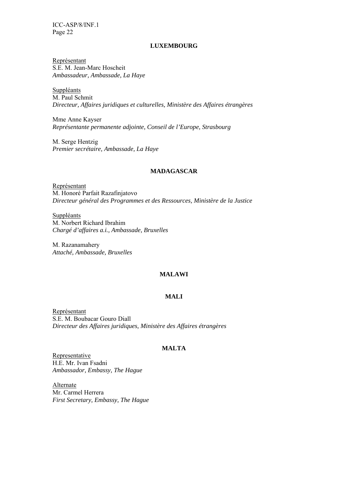#### **LUXEMBOURG**

Représentant S.E. M. Jean-Marc Hoscheit *Ambassadeur, Ambassade, La Haye* 

**Suppléants** M. Paul Schmit *Directeur, Affaires juridiques et culturelles, Ministère des Affaires étrangères* 

Mme Anne Kayser *Représentante permanente adjointe, Conseil de l'Europe, Strasbourg* 

M. Serge Hentzig *Premier secrétaire, Ambassade, La Haye* 

## **MADAGASCAR**

Représentant M. Honoré Parfait Razafinjatovo *Directeur général des Programmes et des Ressources, Ministère de la Justice* 

**Suppléants** M. Norbert Richard Ibrahim *Chargé d'affaires a.i., Ambassade, Bruxelles* 

M. Razanamahery *Attaché, Ambassade, Bruxelles* 

## **MALAWI**

### **MALI**

Représentant S.E. M. Boubacar Gouro Diall *Directeur des Affaires juridiques, Ministère des Affaires étrangères*

## **MALTA**

Representative H.E. Mr. Ivan Fsadni *Ambassador, Embassy, The Hague* 

Alternate Mr. Carmel Herrera *First Secretary, Embassy, The Hague*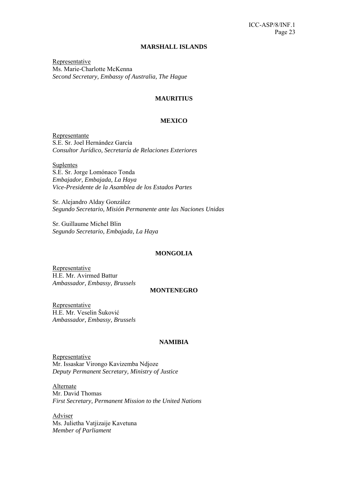#### **MARSHALL ISLANDS**

Representative Ms. Marie-Charlotte McKenna *Second Secretary, Embassy of Australia, The Hague* 

## **MAURITIUS**

#### **MEXICO**

Representante S.E. Sr. Joel Hernández García *Consultor Jurídico, Secretaría de Relaciones Exteriores* 

Suplentes S.E. Sr. Jorge Lomónaco Tonda *Embajador, Embajada, La Haya Vice-Presidente de la Asamblea de los Estados Partes* 

Sr. Alejandro Alday González *Segundo Secretario, Misión Permanente ante las Naciones Unidas* 

Sr. Guillaume Michel Blin *Segundo Secretario, Embajada, La Haya* 

#### **MONGOLIA**

Representative H.E. Mr. Avirmed Battur *Ambassador, Embassy, Brussels* 

#### **MONTENEGRO**

Representative H.E. Mr. Veselin Šuković *Ambassador, Embassy, Brussels* 

#### **NAMIBIA**

**Representative** Mr. Issaskar Virongo Kavizemba Ndjoze *Deputy Permanent Secretary, Ministry of Justice* 

Alternate Mr. David Thomas *First Secretary, Permanent Mission to the United Nations* 

Adviser Ms. Julietha Vatjizaije Kavetuna *Member of Parliament*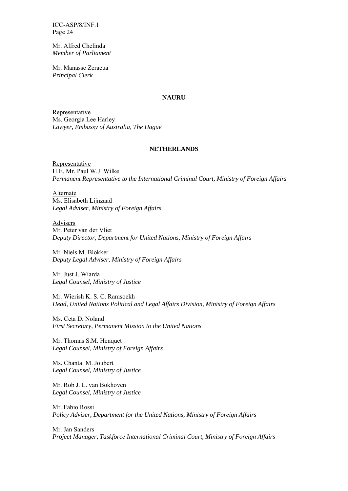Mr. Alfred Chelinda *Member of Parliament* 

Mr. Manasse Zeraeua *Principal Clerk* 

#### **NAURU**

Representative Ms. Georgia Lee Harley *Lawyer, Embassy of Australia, The Hague*

#### **NETHERLANDS**

Representative H.E. Mr. Paul W.J. Wilke *Permanent Representative to the International Criminal Court, Ministry of Foreign Affairs* 

Alternate Ms. Elisabeth Lijnzaad *Legal Adviser, Ministry of Foreign Affairs* 

Advisers Mr. Peter van der Vliet *Deputy Director, Department for United Nations, Ministry of Foreign Affairs* 

Mr. Niels M. Blokker *Deputy Legal Adviser, Ministry of Foreign Affairs* 

Mr. Just J. Wiarda *Legal Counsel, Ministry of Justice* 

Mr. Wierish K. S. C. Ramsoekh *Head, United Nations Political and Legal Affairs Division, Ministry of Foreign Affairs* 

Ms. Ceta D. Noland *First Secretary, Permanent Mission to the United Nations* 

Mr. Thomas S.M. Henquet *Legal Counsel, Ministry of Foreign Affairs* 

Ms. Chantal M. Joubert *Legal Counsel, Ministry of Justice* 

Mr. Rob J. L. van Bokhoven *Legal Counsel, Ministry of Justice* 

Mr. Fabio Rossi *Policy Adviser, Department for the United Nations, Ministry of Foreign Affairs* 

Mr. Jan Sanders *Project Manager, Taskforce International Criminal Court, Ministry of Foreign Affairs*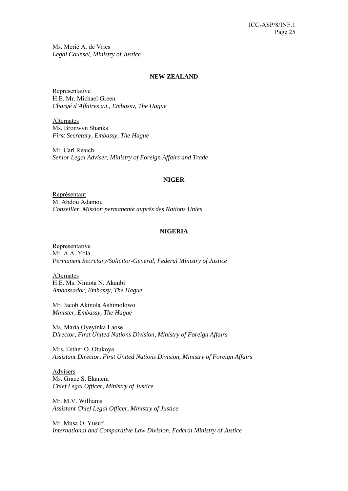Ms. Merie A. de Vries *Legal Counsel, Ministry of Justice* 

#### **NEW ZEALAND**

Representative H.E. Mr. Michael Green *Chargé d'Affaires a.i., Embassy, The Hague* 

Alternates Ms. Bronwyn Shanks *First Secretary, Embassy, The Hague* 

Mr. Carl Reaich *Senior Legal Adviser, Ministry of Foreign Affairs and Trade* 

### **NIGER**

Représentant M. Abdou Adamou *Conseiller, Mission permanente auprès des Nations Unies* 

## **NIGERIA**

**Representative** Mr. A.A. Yola *Permanent Secretary/Solicitor-General, Federal Ministry of Justice* 

Alternates H.E. Ms. Nimota N. Akanbi *Ambassador, Embassy, The Hague* 

Mr. Jacob Akinola Ashimolowo *Minister, Embassy, The Hague* 

Ms. Maria Oyeyinka Laose *Director, First United Nations Division, Ministry of Foreign Affairs* 

Mrs. Esther O. Otukoya *Assistant Director, First United Nations Division, Ministry of Foreign Affairs* 

Advisers Ms. Grace S. Ekanem *Chief Legal Officer, Ministry of Justice* 

Mr. M.V. Williams *Assistant Chief Legal Officer, Ministry of Justice* 

Mr. Musa O. Yusuf *International and Comparative Law Division, Federal Ministry of Justice*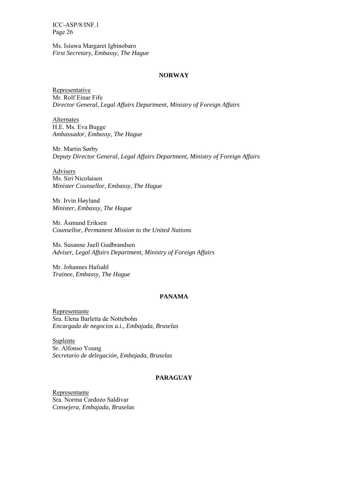Ms. Isiuwa Margaret Igbinobaro *First Secretary, Embassy, The Hague* 

#### **NORWAY**

Representative Mr. Rolf Einar Fife *Director General, Legal Affairs Department, Ministry of Foreign Affairs* 

Alternates H.E. Ms. Eva Bugge *Ambassador, Embassy, The Hague* 

Mr. Martin Sørby *Deputy Director General, Legal Affairs Department, Ministry of Foreign Affairs* 

Advisers Ms. Siri Nicolaisen *Minister Counsellor, Embassy, The Hague* 

Mr. Irvin Høyland *Minister, Embassy, The Hague* 

Mr. Åsmund Eriksen *Counsellor, Permanent Mission to the United Nations* 

Ms. Susanne Juell Gudbrandsen *Adviser, Legal Affairs Department, Ministry of Foreign Affairs* 

Mr. Johannes Hafsahl *Trainee, Embassy, The Hague*

## **PANAMA**

Representante Sra. Elena Barletta de Nottebohn *Encargada de negocios a.i., Embajada, Bruselas* 

Suplente Sr. Alfonso Young *Secretario de delegación, Embajada, Bruselas* 

#### **PARAGUAY**

Representante Sra. Norma Cardozo Saldívar *Consejera, Embajada, Bruselas*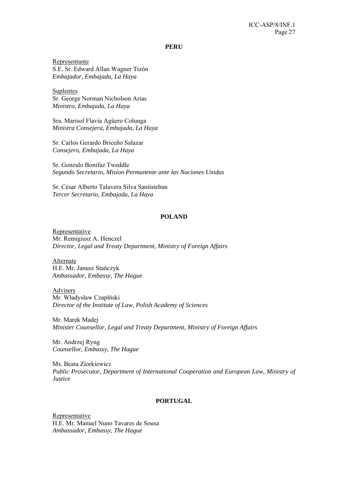**PERU** 

Representante S.E. Sr. Edward Allan Wagner Tizón *Embajador, Embajada, La Haya* 

Suplentes Sr. George Norman Nicholson Arias *Ministro, Embajada, La Haya* 

Sra. Marisol Flavia Agüero Colunga *Ministra Consejera, Embajada, La Haya* 

Sr. Carlos Gerardo Briceño Salazar *Consejero, Embajada, La Haya* 

Sr. Gonzalo Bonifaz Tweddle *Segundo Secretario, Misíon Permanente ante las Naciones Unidas* 

Sr. César Alberto Talavera Silva Santisteban *Tercer Secretario, Embajada, La Haya* 

### **POLAND**

Representative Mr. Remigiusz A. Henczel *Director, Legal and Treaty Department, Ministry of Foreign Affairs* 

Alternate H.E. Mr. Janusz Stańczyk *Ambassador, Embassy, The Hague* 

Advisers Mr. Władysław Czaplński *Director of the Institute of Law, Polish Academy of Sciences* 

Mr. Marek Madej *Minister Counsellor, Legal and Treaty Department, Ministry of Foreign Affairs* 

Mr. Andrzej Ryng *Counsellor, Embassy, The Hague* 

Ms. Beata Ziorkiewicz *Public Prosecutor, Department of International Cooperation and European Law, Ministry of Justice* 

### **PORTUGAL**

Representative H.E. Mr. Manuel Nuno Tavares de Sousa *Ambassador, Embassy, The Hague*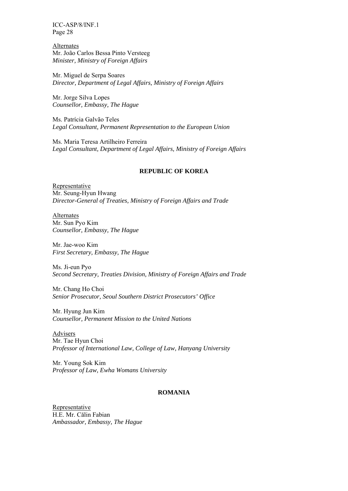**Alternates** Mr. João Carlos Bessa Pinto Versteeg *Minister, Ministry of Foreign Affairs*

Mr. Miguel de Serpa Soares *Director, Department of Legal Affairs, Ministry of Foreign Affairs* 

Mr. Jorge Silva Lopes *Counsellor, Embassy, The Hague* 

Ms. Patrícia Galvão Teles *Legal Consultant, Permanent Representation to the European Union* 

Ms. Maria Teresa Artilheiro Ferreira *Legal Consultant, Department of Legal Affairs, Ministry of Foreign Affairs* 

### **REPUBLIC OF KOREA**

Representative Mr. Seung-Hyun Hwang *Director-General of Treaties, Ministry of Foreign Affairs and Trade* 

Alternates Mr. Sun Pyo Kim *Counsellor, Embassy, The Hague* 

Mr. Jae-woo Kim *First Secretary, Embassy, The Hague* 

Ms. Ji-eun Pyo *Second Secretary, Treaties Division, Ministry of Foreign Affairs and Trade* 

Mr. Chang Ho Choi *Senior Prosecutor, Seoul Southern District Prosecutors' Office* 

Mr. Hyung Jun Kim *Counsellor, Permanent Mission to the United Nations* 

Advisers Mr. Tae Hyun Choi *Professor of International Law, College of Law, Hanyang University* 

Mr. Young Sok Kim *Professor of Law, Ewha Womans University* 

## **ROMANIA**

Representative H.E. Mr. Călin Fabian *Ambassador, Embassy, The Hague*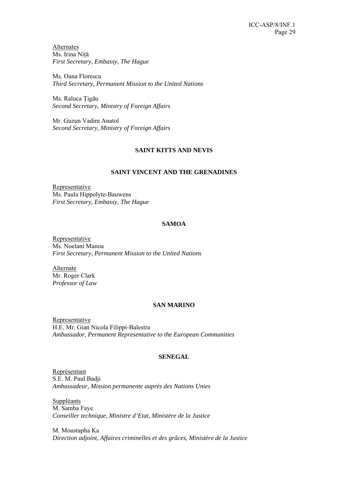Alternates Ms. Irina Niţǎ *First Secretary, Embassy, The Hague* 

Ms. Oana Florescu *Third Secretary, Permanent Mission to the United Nations* 

Ms. Raluca Ţigǎu *Second Secretary, Ministry of Foreign Affairs* 

Mr. Guzun Vadim Anatol *Second Secretary, Ministry of Foreign Affairs* 

## **SAINT KITTS AND NEVIS**

## **SAINT VINCENT AND THE GRENADINES**

**Representative** Ms. Paula Hippolyte-Bauwens *First Secretary, Embassy, The Hague* 

## **SAMOA**

Representative Ms. Noelani Manoa *First Secretary, Permanent Mission to the United Nations* 

Alternate Mr. Roger Clark *Professor of Law* 

## **SAN MARINO**

Representative H.E. Mr. Gian Nicola Filippi-Balestra *Ambassador, Permanent Representative to the European Communities* 

## **SENEGAL**

Représentant S.E. M. Paul Badji *Ambassadeur, Mission permanente auprès des Nations Unies* 

Suppléants M. Samba Faye *Conseiller technique, Ministre d'Etat, Ministère de la Justice* 

M. Moustapha Ka *Direction adjoint, Affaires criminelles et des grâces, Ministère de la Justice*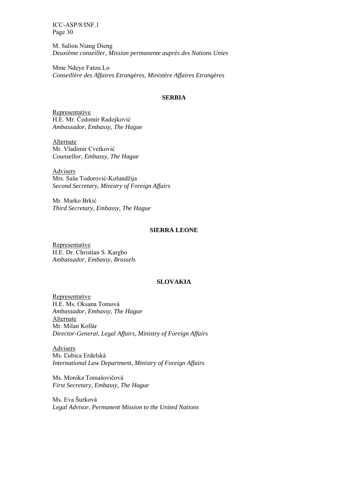M. Saliou Niang Dieng *Deuxième conseiller, Mission permanente auprès des Nations Unies* 

Mme Ndeye Fatou Lo *Conseillère des Affaires Etrangères, Ministère Affaires Etrangères* 

#### **SERBIA**

Representative H.E. Mr. Čedomir Radojković *Ambassador, Embassy, The Hague* 

Alternate Mr. Vladimir Cvetković *Counsellor, Embassy, The Hague* 

Advisers Mrs. Saša Todorović-Kolundžija *Second Secretary, Ministry of Foreign Affairs*

Mr. Marko Brkić *Third Secretary, Embassy, The Hague* 

#### **SIERRA LEONE**

Representative H.E. Dr. Christian S. Kargbo *Ambassador, Embassy, Brussels* 

#### **SLOVAKIA**

Representative H.E. Ms. Oksana Tomová *Ambassador, Embassy, The Hague*  Alternate Mr. Milan Kollár *Director-General, Legal Affairs, Ministry of Foreign Affairs* 

Advisers Ms. Ľubica Erdelská *International Law Department, Ministry of Foreign Affairs* 

Ms. Monika Tomašovičová *First Secretary, Embassy, The Hague* 

Ms. Eva Šurková *Legal Advisor, Permanent Mission to the United Nations*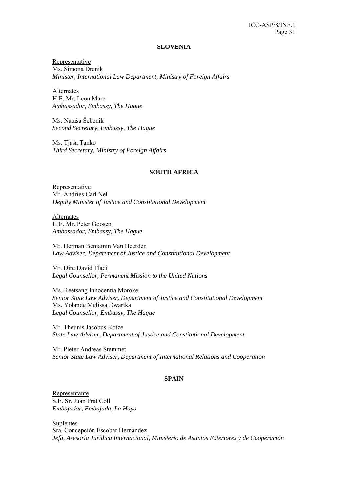#### **SLOVENIA**

Representative Ms. Simona Drenik *Minister, International Law Department, Ministry of Foreign Affairs* 

Alternates H.E. Mr. Leon Marc *Ambassador, Embassy, The Hague* 

Ms. Nataša Šebenik *Second Secretary, Embassy, The Hague*

Ms. Tjaša Tanko *Third Secretary, Ministry of Foreign Affairs* 

### **SOUTH AFRICA**

Representative Mr. Andries Carl Nel *Deputy Minister of Justice and Constitutional Development* 

Alternates H.E. Mr. Peter Goosen *Ambassador, Embassy, The Hague* 

Mr. Herman Benjamin Van Heerden *Law Adviser, Department of Justice and Constitutional Development* 

Mr. Dire David Tladi *Legal Counsellor, Permanent Mission to the United Nations* 

Ms. Reetsang Innocentia Moroke *Senior State Law Adviser, Department of Justice and Constitutional Development*  Ms. Yolande Melissa Dwarika *Legal Counsellor, Embassy, The Hague* 

Mr. Theunis Jacobus Kotze *State Law Adviser, Department of Justice and Constitutional Development* 

Mr. Pieter Andreas Stemmet *Senior State Law Adviser, Department of International Relations and Cooperation* 

#### **SPAIN**

Representante S.E. Sr. Juan Prat Coll *Embajador, Embajada, La Haya* 

**Suplentes** Sra. Concepción Escobar Hernández *Jefa, Asesoría Jurídica Internacional, Ministerio de Asuntos Exteriores y de Cooperación*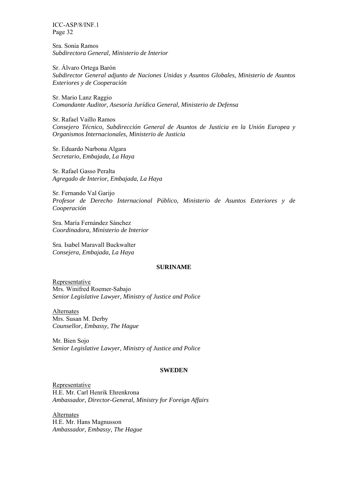Sra. Sonia Ramos *Subdirectora General, Ministerio de Interior* 

Sr. Álvaro Ortega Barón *Subdirector General adjunto de Naciones Unidas y Asuntos Globales, Ministerio de Asuntos Exteriores y de Cooperación* 

Sr. Mario Lanz Raggio *Comandante Auditor, Asesoría Jurídica General, Ministerio de Defensa* 

Sr. Rafael Vaillo Ramos *Consejero Técnico, Subdirección General de Asuntos de Justicia en la Unión Europea y Organismos Internacionales, Ministerio de Justicia* 

Sr. Eduardo Narbona Algara *Secretario, Embajada, La Haya* 

Sr. Rafael Gasso Peralta *Agregado de Interior, Embajada, La Haya*

Sr. Fernando Val Garijo *Profesor de Derecho Internacional Público, Ministerio de Asuntos Exteriores y de Cooperación* 

Sra. María Fernández Sánchez *Coordinadora, Ministerio de Interior* 

Sra. Isabel Maravall Buckwalter *Consejera, Embajada, La Haya* 

### **SURINAME**

Representative Mrs. Winifred Roemer-Sabajo *Senior Legislative Lawyer, Ministry of Justice and Police* 

Alternates Mrs. Susan M. Derby *Counsellor, Embassy, The Hague* 

Mr. Bien Sojo *Senior Legislative Lawyer, Ministry of Justice and Police* 

#### **SWEDEN**

Representative H.E. Mr. Carl Henrik Ehrenkrona *Ambassador, Director-General, Ministry for Foreign Affairs* 

Alternates H.E. Mr. Hans Magnusson *Ambassador, Embassy, The Hague*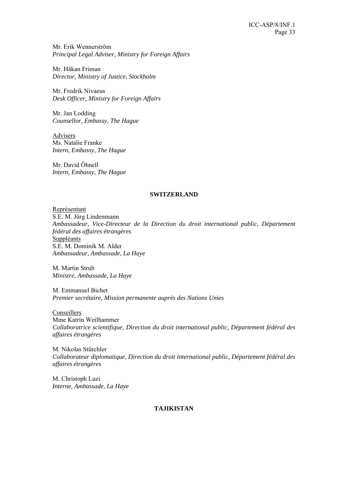Mr. Erik Wennerström *Principal Legal Adviser, Ministry for Foreign Affairs* 

Mr. Håkan Friman *Director, Ministry of Justice, Stockholm* 

Mr. Fredrik Nivaeus *Desk Officer, Ministry for Foreign Affairs* 

Mr. Jan Lodding *Counsellor, Embassy, The Hague*

Advisers Ms. Natalie Franke *Intern, Embassy, The Hague* 

Mr. David Öhnell *Intern, Embassy, The Hague* 

### **SWITZERLAND**

Représentant S.E. M. Jürg Lindenmann *Ambassadeur, Vice-Directeur de la Direction du droit international public, Département fédéral des affaires étrangères*  **Suppléants** S.E. M. Dominik M. Alder *Ambassadeur, Ambassade, La Haye* 

M. Martin Strub *Ministre, Ambassade, La Haye* 

M. Emmanuel Bichet *Premier secrétaire, Mission permanente auprès des Nations Unies* 

Conseillers Mme Katrin Weilhammer *Collaboratrice scientifique, Direction du droit international public, Département fédéral des affaires étrangères* 

M. Nikolas Stürchler *Collaborateur diplomatique, Direction du droit international public, Département fédéral des affaires étrangères* 

M. Christoph Luzi *Interne, Ambassade, La Haye* 

## **TAJIKISTAN**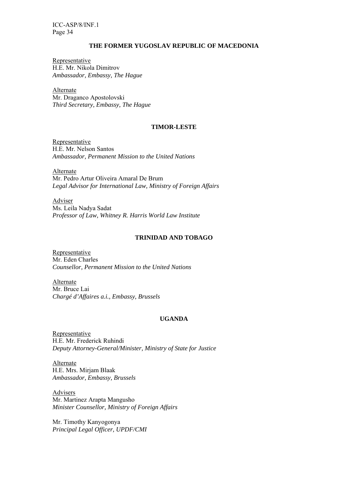### **THE FORMER YUGOSLAV REPUBLIC OF MACEDONIA**

Representative H.E. Mr. Nikola Dimitrov *Ambassador, Embassy, The Hague* 

Alternate Mr. Draganco Apostolovski *Third Secretary, Embassy, The Hague* 

## **TIMOR-LESTE**

Representative H.E. Mr. Nelson Santos *Ambassador, Permanent Mission to the United Nations* 

Alternate Mr. Pedro Artur Oliveira Amaral De Brum *Legal Advisor for International Law, Ministry of Foreign Affairs* 

Adviser Ms. Leila Nadya Sadat *Professor of Law, Whitney R. Harris World Law Institute* 

## **TRINIDAD AND TOBAGO**

Representative Mr. Eden Charles *Counsellor, Permanent Mission to the United Nations* 

Alternate Mr. Bruce Lai *Chargé d'Affaires a.i., Embassy, Brussels* 

### **UGANDA**

Representative H.E. Mr. Frederick Ruhindi *Deputy Attorney-General/Minister, Ministry of State for Justice* 

Alternate H.E. Mrs. Mirjam Blaak *Ambassador, Embassy, Brussels* 

Advisers Mr. Martinez Arapta Mangusho *Minister Counsellor, Ministry of Foreign Affairs* 

Mr. Timothy Kanyogonya *Principal Legal Officer, UPDF/CMI*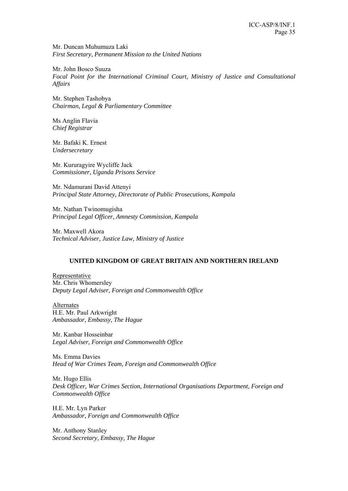Mr. Duncan Muhumuza Laki *First Secretary, Permanent Mission to the United Nations* 

Mr. John Bosco Suuza *Focal Point for the International Criminal Court, Ministry of Justice and Consultational Affairs* 

Mr. Stephen Tashobya *Chairman, Legal & Parliamentary Committee* 

Ms Anglin Flavia *Chief Registrar* 

Mr. Bafaki K. Ernest *Undersecretary* 

Mr. Kururagyire Wycliffe Jack *Commissioner, Uganda Prisons Service* 

Mr. Ndamurani David Attenyi *Principal State Attorney, Directorate of Public Prosecutions, Kampala* 

Mr. Nathan Twinomugisha *Principal Legal Officer, Amnesty Commission, Kampala* 

Mr. Maxwell Akora *Technical Adviser, Justice Law, Ministry of Justice* 

## **UNITED KINGDOM OF GREAT BRITAIN AND NORTHERN IRELAND**

Representative Mr. Chris Whomersley *Deputy Legal Adviser, Foreign and Commonwealth Office* 

**Alternates** H.E. Mr. Paul Arkwright *Ambassador, Embassy, The Hague* 

Mr. Kanbar Hosseinbar *Legal Adviser, Foreign and Commonwealth Office* 

Ms. Emma Davies *Head of War Crimes Team, Foreign and Commonwealth Office* 

Mr. Hugo Ellis *Desk Officer, War Crimes Section, International Organisations Department, Foreign and Commonwealth Office* 

H.E. Mr. Lyn Parker *Ambassador, Foreign and Commonwealth Office* 

Mr. Anthony Stanley *Second Secretary, Embassy, The Hague*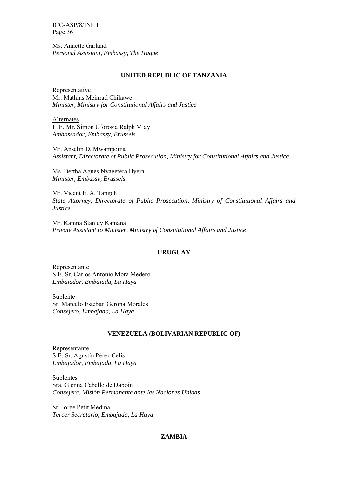Ms. Annette Garland *Personal Assistant, Embassy, The Hague* 

#### **UNITED REPUBLIC OF TANZANIA**

Representative Mr. Mathias Meinrad Chikawe *Minister, Ministry for Constitutional Affairs and Justice* 

Alternates H.E. Mr. Simon Uforosia Ralph Mlay *Ambassador, Embassy, Brussels* 

Mr. Anselm D. Mwampoma *Assistant, Directorate of Public Prosecution, Ministry for Constitutional Affairs and Justice*

Ms. Bertha Agnes Nyagetera Hyera *Minister, Embassy, Brussels* 

Mr. Vicent E. A. Tangoh *State Attorney, Directorate of Public Prosecution, Ministry of Constitutional Affairs and Justice* 

Mr. Kamna Stanley Kamana *Private Assistant to Minister, Ministry of Constitutional Affairs and Justice*

#### **URUGUAY**

Representante S.E. Sr. Carlos Antonio Mora Medero *Embajador, Embajada, La Haya* 

Suplente Sr. Marcelo Esteban Gerona Morales *Consejero, Embajada, La Haya* 

#### **VENEZUELA (BOLIVARIAN REPUBLIC OF)**

Representante S.E. Sr. Agustín Pérez Celis *Embajador, Embajada, La Haya* 

**Suplentes** Sra. Glenna Cabello de Daboin *Consejera, Misión Permanente ante las Naciones Unidas* 

Sr. Jorge Petit Medina *Tercer Secretario, Embajada, La Haya* 

## **ZAMBIA**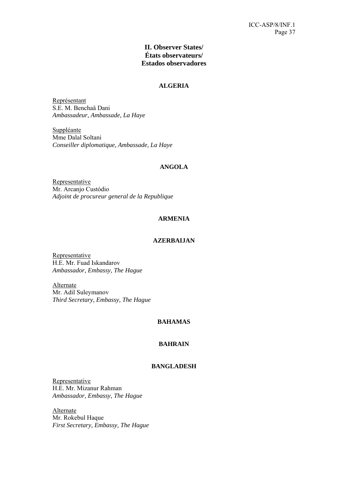## **II. Observer States/ États observateurs/ Estados observadores**

## **ALGERIA**

Représentant S.E. M. Benchaâ Dani *Ambassadeur, Ambassade, La Haye* 

Suppléante Mme Dalal Soltani *Conseiller diplomatique, Ambassade, La Haye* 

## **ANGOLA**

Representative Mr. Arcanjo Custódio *Adjoint de procureur general de la Republique* 

## **ARMENIA**

## **AZERBAIJAN**

Representative H.E. Mr. Fuad Iskandarov *Ambassador, Embassy, The Hague* 

**Alternate** Mr. Adil Suleymanov *Third Secretary, Embassy, The Hague* 

## **BAHAMAS**

## **BAHRAIN**

## **BANGLADESH**

Representative H.E. Mr. Mizanur Rahman *Ambassador, Embassy, The Hague* 

Alternate Mr. Rokebul Haque *First Secretary, Embassy, The Hague*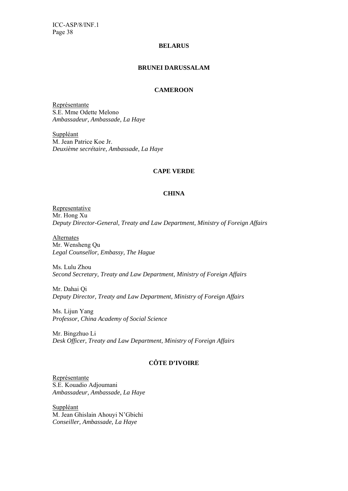#### **BELARUS**

## **BRUNEI DARUSSALAM**

## **CAMEROON**

Représentante S.E. Mme Odette Melono *Ambassadeur, Ambassade, La Haye* 

Suppléant M. Jean Patrice Koe Jr. *Deuxième secrétaire, Ambassade, La Haye*

### **CAPE VERDE**

### **CHINA**

Representative Mr. Hong Xu *Deputy Director-General, Treaty and Law Department, Ministry of Foreign Affairs* 

Alternates Mr. Wensheng Qu *Legal Counsellor, Embassy, The Hague* 

Ms. Lulu Zhou *Second Secretary, Treaty and Law Department, Ministry of Foreign Affairs* 

Mr. Dahai Qi *Deputy Director, Treaty and Law Department, Ministry of Foreign Affairs* 

Ms. Lijun Yang *Professor, China Academy of Social Science*

Mr. Bingzhuo Li *Desk Officer, Treaty and Law Department, Ministry of Foreign Affairs* 

## **CÔTE D'IVOIRE**

Représentante S.E. Kouadio Adjoumani *Ambassadeur, Ambassade, La Haye* 

Suppléant M. Jean Ghislain Ahouyi N'Gbichi *Conseiller, Ambassade, La Haye*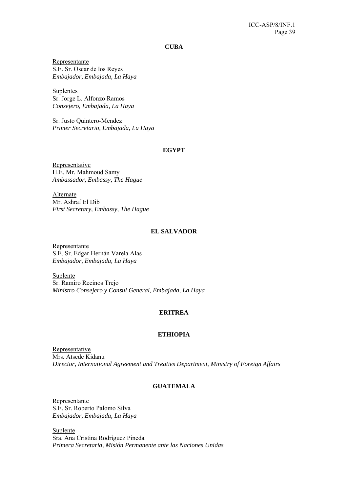**CUBA** 

Representante S.E. Sr. Oscar de los Reyes *Embajador, Embajada, La Haya* 

Suplentes Sr. Jorge L. Alfonzo Ramos *Consejero, Embajada, La Haya* 

Sr. Justo Quintero-Mendez *Primer Secretario, Embajada, La Haya* 

### **EGYPT**

Representative H.E. Mr. Mahmoud Samy *Ambassador, Embassy, The Hague* 

Alternate Mr. Ashraf El Dib *First Secretary, Embassy, The Hague* 

#### **EL SALVADOR**

Representante S.E. Sr. Edgar Hernán Varela Alas *Embajador, Embajada, La Haya* 

Suplente Sr. Ramiro Recinos Trejo *Ministro Consejero y Consul General, Embajada, La Haya* 

## **ERITREA**

### **ETHIOPIA**

Representative Mrs. Atsede Kidanu *Director, International Agreement and Treaties Department, Ministry of Foreign Affairs* 

## **GUATEMALA**

Representante S.E. Sr. Roberto Palomo Silva *Embajador, Embajada, La Haya* 

Suplente Sra. Ana Cristina Rodríguez Pineda *Primera Secretaria, Misión Permanente ante las Naciones Unidas*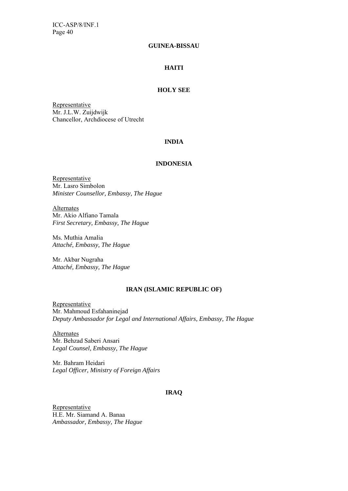#### **GUINEA-BISSAU**

## **HAITI**

### **HOLY SEE**

Representative Mr. J.L.W. Zuijdwijk Chancellor, Archdiocese of Utrecht

### **INDIA**

## **INDONESIA**

Representative Mr. Lasro Simbolon *Minister Counsellor, Embassy, The Hague* 

Alternates Mr. Akio Alfiano Tamala *First Secretary, Embassy, The Hague* 

Ms. Muthia Amalia *Attaché, Embassy, The Hague* 

Mr. Akbar Nugraha *Attaché, Embassy, The Hague* 

## **IRAN (ISLAMIC REPUBLIC OF)**

Representative Mr. Mahmoud Esfahaninejad *Deputy Ambassador for Legal and International Affairs, Embassy, The Hague* 

Alternates Mr. Behzad Saberi Ansari *Legal Counsel, Embassy, The Hague* 

Mr. Bahram Heidari *Legal Officer, Ministry of Foreign Affairs* 

## **IRAQ**

Representative H.E. Mr. Siamand A. Banaa *Ambassador, Embassy, The Hague*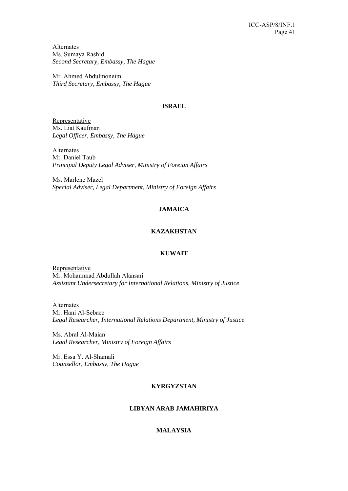Alternates Ms. Sumaya Rashid *Second Secretary, Embassy, The Hague* 

Mr. Ahmed Abdulmoneim *Third Secretary, Embassy, The Hague* 

## **ISRAEL**

Representative Ms. Liat Kaufman *Legal Officer, Embassy, The Hague* 

Alternates Mr. Daniel Taub *Principal Deputy Legal Adviser, Ministry of Foreign Affairs* 

Ms. Marlene Mazel *Special Adviser, Legal Department, Ministry of Foreign Affairs* 

## **JAMAICA**

## **KAZAKHSTAN**

## **KUWAIT**

Representative Mr. Mohammad Abdullah Alansari *Assistant Undersecretary for International Relations, Ministry of Justice* 

**Alternates** Mr. Hani Al-Sebaee *Legal Researcher, International Relations Department, Ministry of Justice* 

Ms. Abral Al-Maian *Legal Researcher, Ministry of Foreign Affairs* 

Mr. Essa Y. Al-Shamali *Counsellor, Embassy, The Hague* 

## **KYRGYZSTAN**

## **LIBYAN ARAB JAMAHIRIYA**

## **MALAYSIA**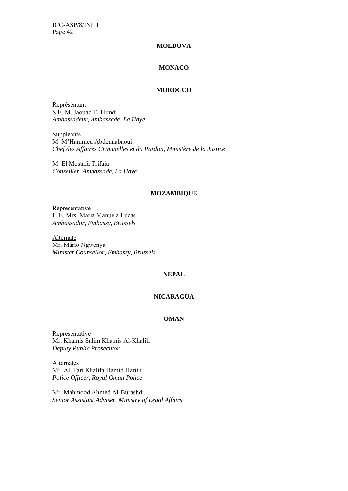### **MOLDOVA**

## **MONACO**

## **MOROCCO**

Représentant S.E. M. Jaouad El Himdi *Ambassadeur, Ambassade, La Haye* 

**Suppléants** M. M'Hammed Abdennabaoui *Chef des Affaires Criminelles et du Pardon, Ministère de la Justice* 

M. El Mostafa Trifaia *Conseiller, Ambassade, La Haye* 

#### **MOZAMBIQUE**

Representative H.E. Mrs. Maria Manuela Lucas *Ambassador, Embassy, Brussels* 

Alternate Mr. Mário Ngwenya *Minister Counsellor, Embassy, Brussels* 

## **NEPAL**

## **NICARAGUA**

## **OMAN**

Representative Mr. Khamis Salim Khamis Al-Khalili *Deputy Public Prosecutor* 

Alternates Mr. Al Fari Khalifa Hamid Harith *Police Officer, Royal Oman Police* 

Mr. Mahmood Ahmed Al-Burashdi *Senior Assistant Adviser, Ministry of Legal Affairs*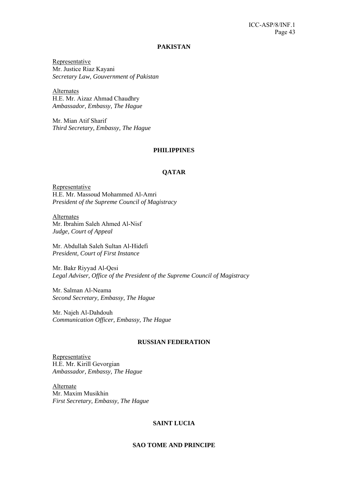#### **PAKISTAN**

Representative Mr. Justice Riaz Kayani *Secretary Law, Gouvernment of Pakistan* 

Alternates H.E. Mr. Aizaz Ahmad Chaudhry *Ambassador, Embassy, The Hague* 

Mr. Mian Atif Sharif *Third Secretary, Embassy, The Hague* 

#### **PHILIPPINES**

## **QATAR**

**Representative** H.E. Mr. Massoud Mohammed Al-Amri *President of the Supreme Council of Magistracy* 

Alternates Mr. Ibrahim Saleh Ahmed Al-Nisf *Judge, Court of Appeal* 

Mr. Abdullah Saleh Sultan Al-Hidefi *President, Court of First Instance* 

Mr. Bakr Riyyad Al-Qesi *Legal Adviser, Office of the President of the Supreme Council of Magistracy* 

Mr. Salman Al-Neama *Second Secretary, Embassy, The Hague* 

Mr. Najeh Al-Dahdouh *Communication Officer, Embassy, The Hague* 

#### **RUSSIAN FEDERATION**

**Representative** H.E. Mr. Kirill Gevorgian *Ambassador, Embassy, The Hague* 

Alternate Mr. Maxim Musikhin *First Secretary, Embassy, The Hague* 

#### **SAINT LUCIA**

### **SAO TOME AND PRINCIPE**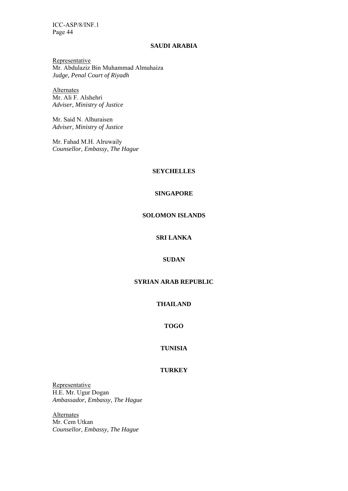#### **SAUDI ARABIA**

Representative Mr. Abdulaziz Bin Muhammad Almuhaiza *Judge, Penal Court of Riyadh* 

**Alternates** Mr. Ali F. Alshehri *Adviser, Ministry of Justice* 

Mr. Said N. Alhuraisen *Adviser, Ministry of Justice* 

Mr. Fahad M.H. Alruwaily *Counsellor, Embassy, The Hague* 

## **SEYCHELLES**

#### **SINGAPORE**

## **SOLOMON ISLANDS**

## **SRI LANKA**

## **SUDAN**

## **SYRIAN ARAB REPUBLIC**

## **THAILAND**

## **TOGO**

## **TUNISIA**

## **TURKEY**

**Representative** H.E. Mr. Ugur Dogan *Ambassador, Embassy, The Hague* 

**Alternates** Mr. Cem Utkan *Counsellor, Embassy, The Hague*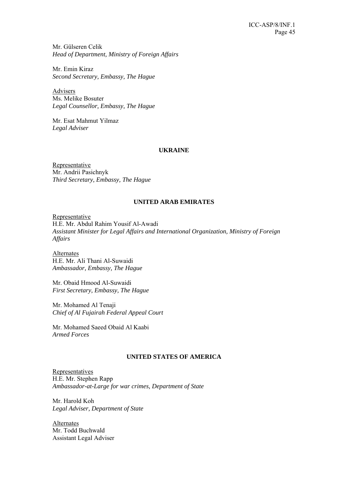Mr. Gülseren Celik *Head of Department, Ministry of Foreign Affairs* 

Mr. Emin Kiraz *Second Secretary, Embassy, The Hague* 

Advisers Ms. Melike Bosuter *Legal Counsellor, Embassy, The Hague* 

Mr. Esat Mahmut Yilmaz *Legal Adviser* 

## **UKRAINE**

Representative Mr. Andrii Pasichnyk *Third Secretary, Embassy, The Hague* 

## **UNITED ARAB EMIRATES**

Representative H.E. Mr. Abdul Rahim Yousif Al-Awadi *Assistant Minister for Legal Affairs and International Organization, Ministry of Foreign Affairs* 

Alternates H.E. Mr. Ali Thani Al-Suwaidi *Ambassador, Embassy, The Hague* 

Mr. Obaid Hmood Al-Suwaidi *First Secretary, Embassy, The Hague* 

Mr. Mohamed Al Tenaji *Chief of Al Fujairah Federal Appeal Court* 

Mr. Mohamed Saeed Obaid Al Kaabi *Armed Forces* 

## **UNITED STATES OF AMERICA**

Representatives H.E. Mr. Stephen Rapp *Ambassador-at-Large for war crimes, Department of State* 

Mr. Harold Koh *Legal Adviser, Department of State* 

**Alternates** Mr. Todd Buchwald Assistant Legal Adviser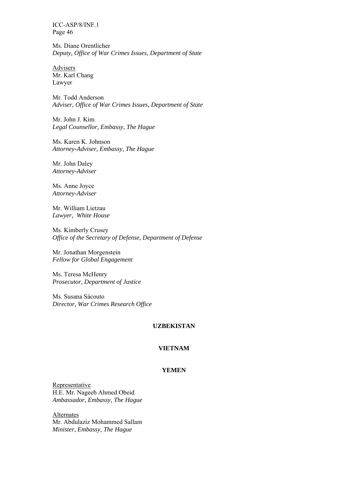Ms. Diane Orentlicher *Deputy, Office of War Crimes Issues, Department of State* 

Advisers Mr. Karl Chang Lawyer

Mr. Todd Anderson *Adviser, Office of War Crimes Issues, Department of State* 

Mr. John J. Kim *Legal Counsellor, Embassy, The Hague* 

Ms. Karen K. Johnson *Attorney-Adviser, Embassy, The Hague* 

Mr. John Daley *Attorney-Adviser* 

Ms. Anne Joyce *Attorney-Adviser* 

Mr. William Lietzau *Lawyer, White House* 

Ms. Kimberly Crusey *Office of the Secretary of Defense, Department of Defense* 

Mr. Jonathan Morgenstein *Fellow for Global Engagement* 

Ms. Teresa McHenry *Prosecutor, Department of Justice* 

Ms. Susana Sácouto *Director, War Crimes Research Office* 

### **UZBEKISTAN**

## **VIETNAM**

## **YEMEN**

**Representative** H.E. Mr. Nageeb Ahmed Obeid *Ambassador, Embassy, The Hague* 

Alternates Mr. Abdulaziz Mohammed Sallam *Minister, Embassy, The Hague*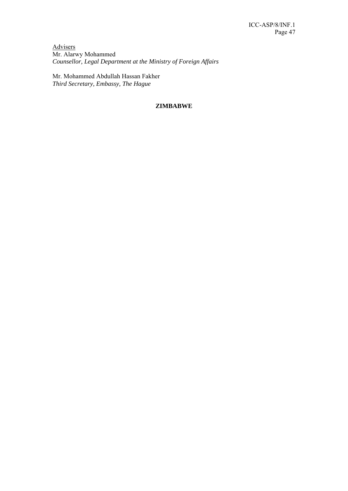Advisers Mr. Alarwy Mohammed *Counsellor, Legal Department at the Ministry of Foreign Affairs* 

Mr. Mohammed Abdullah Hassan Fakher *Third Secretary, Embassy, The Hague* 

## **ZIMBABWE**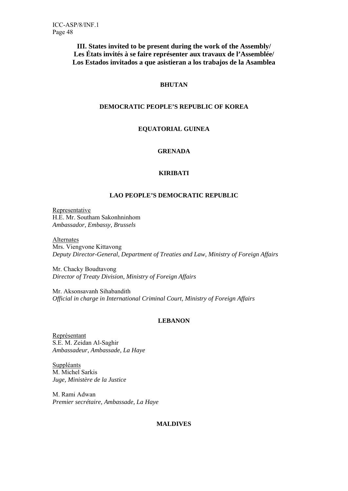**III. States invited to be present during the work of the Assembly/ Les États invités à se faire représenter aux travaux de l'Assemblée/ Los Estados invitados a que asistieran a los trabajos de la Asamblea** 

## **BHUTAN**

## **DEMOCRATIC PEOPLE'S REPUBLIC OF KOREA**

## **EQUATORIAL GUINEA**

## **GRENADA**

## **KIRIBATI**

## **LAO PEOPLE'S DEMOCRATIC REPUBLIC**

Representative H.E. Mr. Southam Sakonhninhom *Ambassador, Embassy, Brussels* 

### Alternates

Mrs. Viengvone Kittavong *Deputy Director-General, Department of Treaties and Law, Ministry of Foreign Affairs*

Mr. Chacky Boudtavong *Director of Treaty Division, Ministry of Foreign Affairs* 

Mr. Aksonsavanh Sihabandith *Official in charge in International Criminal Court, Ministry of Foreign Affairs* 

## **LEBANON**

Représentant S.E. M. Zeidan Al-Saghir *Ambassadeur, Ambassade, La Haye* 

**Suppléants** M. Michel Sarkis *Juge, Ministère de la Justice* 

M. Rami Adwan *Premier secrétaire, Ambassade, La Haye* 

## **MALDIVES**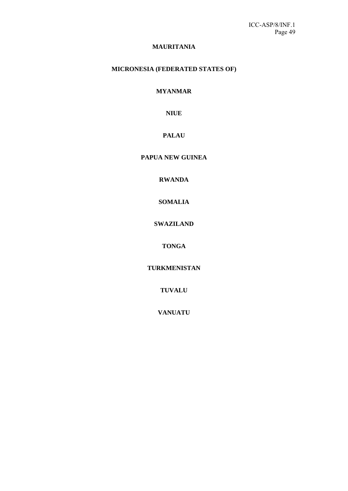## **MAURITANIA**

## **MICRONESIA (FEDERATED STATES OF)**

## **MYANMAR**

## **NIUE**

## **PALAU**

## **PAPUA NEW GUINEA**

## **RWANDA**

## **SOMALIA**

## **SWAZILAND**

## **TONGA**

## **TURKMENISTAN**

## **TUVALU**

## **VANUATU**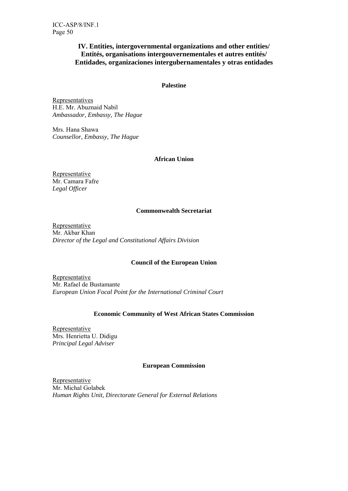## **IV. Entities, intergovernmental organizations and other entities/ Entités, organisations intergouvernementales et autres entités/ Entidades, organizaciones intergubernamentales y otras entidades**

## **Palestine**

**Representatives** H.E. Mr. Abuznaid Nabil *Ambassador, Embassy, The Hague* 

Mrs. Hana Shawa *Counsellor, Embassy, The Hague* 

## **African Union**

**Representative** Mr. Camara Fafre *Legal Officer* 

## **Commonwealth Secretariat**

Representative Mr. Akbar Khan *Director of the Legal and Constitutional Affairs Division* 

## **Council of the European Union**

**Representative** Mr. Rafael de Bustamante *European Union Focal Point for the International Criminal Court* 

## **Economic Community of West African States Commission**

Representative Mrs. Henrietta U. Didigu *Principal Legal Adviser* 

## **European Commission**

Representative Mr. Michal Golabek *Human Rights Unit, Directorate General for External Relations*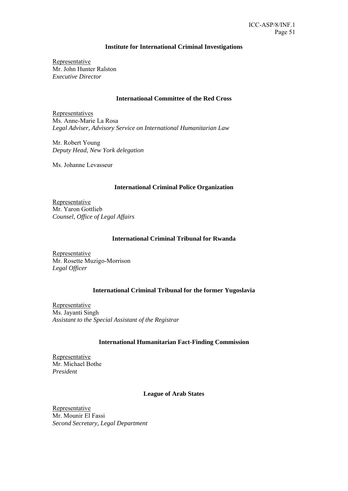## **Institute for International Criminal Investigations**

Representative Mr. John Hunter Ralston *Executive Director*

### **International Committee of the Red Cross**

Representatives Ms. Anne-Marie La Rosa *Legal Adviser, Advisory Service on International Humanitarian Law*

Mr. Robert Young *Deputy Head, New York delegation* 

Ms. Johanne Levasseur

### **International Criminal Police Organization**

Representative Mr. Yaron Gottlieb *Counsel, Office of Legal Affairs* 

## **International Criminal Tribunal for Rwanda**

Representative Mr. Rosette Muzigo-Morrison *Legal Officer* 

## **International Criminal Tribunal for the former Yugoslavia**

Representative Ms. Jayanti Singh *Assistant to the Special Assistant of the Registrar* 

## **International Humanitarian Fact-Finding Commission**

**Representative** Mr. Michael Bothe *President* 

## **League of Arab States**

Representative Mr. Mounir El Fassi *Second Secretary, Legal Department*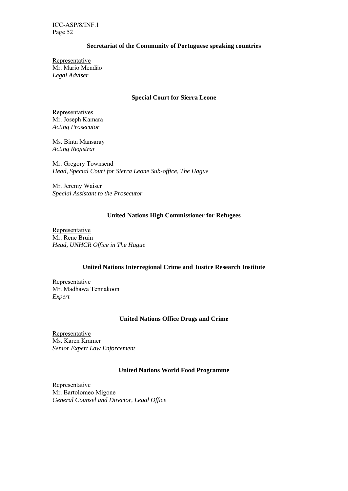## **Secretariat of the Community of Portuguese speaking countries**

Representative Mr. Mario Mendão *Legal Adviser* 

## **Special Court for Sierra Leone**

Representatives Mr. Joseph Kamara *Acting Prosecutor* 

Ms. Binta Mansaray *Acting Registrar* 

Mr. Gregory Townsend *Head, Special Court for Sierra Leone Sub-office, The Hague* 

Mr. Jeremy Waiser *Special Assistant to the Prosecutor* 

## **United Nations High Commissioner for Refugees**

Representative Mr. Rene Bruin *Head, UNHCR Office in The Hague* 

## **United Nations Interregional Crime and Justice Research Institute**

Representative Mr. Madhawa Tennakoon *Expert*

## **United Nations Office Drugs and Crime**

**Representative** Ms. Karen Kramer *Senior Expert Law Enforcement* 

## **United Nations World Food Programme**

**Representative** Mr. Bartolomeo Migone *General Counsel and Director, Legal Office*